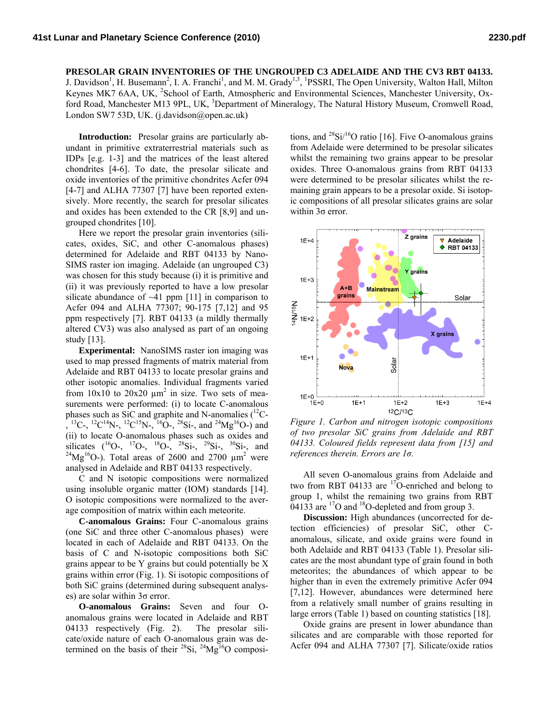## **PRESOLAR GRAIN INVENTORIES OF THE UNGROUPED C3 ADELAIDE AND THE CV3 RBT 04133.**

J. Davidson<sup>1</sup>, H. Busemann<sup>2</sup>, I. A. Franchi<sup>1</sup>, and M. M. Grady<sup>1,3</sup>, <sup>1</sup>PSSRI, The Open University, Walton Hall, Milton Keynes MK7 6AA, UK, <sup>2</sup>School of Earth, Atmospheric and Environmental Sciences, Manchester University, Oxford Road, Manchester M13 9PL, UK, <sup>3</sup>Department of Mineralogy, The Natural History Museum, Cromwell Road, London SW7 53D, UK. (j.davidson@open.ac.uk)

**Introduction:** Presolar grains are particularly abundant in primitive extraterrestrial materials such as IDPs [e.g. 1-3] and the matrices of the least altered chondrites [4-6]. To date, the presolar silicate and oxide inventories of the primitive chondrites Acfer 094 [4-7] and ALHA 77307 [7] have been reported extensively. More recently, the search for presolar silicates and oxides has been extended to the CR [8,9] and ungrouped chondrites [10].

Here we report the presolar grain inventories (silicates, oxides, SiC, and other C-anomalous phases) determined for Adelaide and RBT 04133 by Nano-SIMS raster ion imaging. Adelaide (an ungrouped C3) was chosen for this study because (i) it is primitive and (ii) it was previously reported to have a low presolar silicate abundance of  $~11$  ppm [11] in comparison to Acfer 094 and ALHA 77307; 90-175 [7,12] and 95 ppm respectively [7]. RBT 04133 (a mildly thermally altered CV3) was also analysed as part of an ongoing study [13].

**Experimental:** NanoSIMS raster ion imaging was used to map pressed fragments of matrix material from Adelaide and RBT 04133 to locate presolar grains and other isotopic anomalies. Individual fragments varied from  $10x10$  to  $20x20 \mu m^2$  in size. Two sets of measurements were performed: (i) to locate C-anomalous phases such as SiC and graphite and N-anomalies  $(^{12}C ^{13}$ C-,  $^{12}$ C<sup>14</sup>N-,  $^{12}$ C<sup>15</sup>N-,  $^{16}$ O-,  $^{28}$ Si-, and  $^{24}$ Mg<sup>16</sup>O-) and (ii) to locate O-anomalous phases such as oxides and silicates ( $^{16}O^-$ ,  $^{17}O^-$ ,  $^{18}O^-$ ,  $^{28}Si^-$ ,  $^{29}Si^-$ ,  $^{30}Si^-$ , and <sup>24</sup>Mg<sup>16</sup>O-). Total areas of 2600 and 2700  $\mu$ m<sup>2</sup> were analysed in Adelaide and RBT 04133 respectively.

C and N isotopic compositions were normalized using insoluble organic matter (IOM) standards [14]. O isotopic compositions were normalized to the average composition of matrix within each meteorite.

**C-anomalous Grains:** Four C-anomalous grains (one SiC and three other C-anomalous phases) were located in each of Adelaide and RBT 04133. On the basis of C and N-isotopic compositions both SiC grains appear to be Y grains but could potentially be X grains within error (Fig. 1). Si isotopic compositions of both SiC grains (determined during subsequent analyses) are solar within  $3\sigma$  error.

**O-anomalous Grains:** Seven and four Oanomalous grains were located in Adelaide and RBT 04133 respectively (Fig. 2). The presolar silicate/oxide nature of each O-anomalous grain was determined on the basis of their  $^{28}Si$ ,  $^{24}Mg^{16}O$  compositions, and  $^{28}Si/^{16}O$  ratio [16]. Five O-anomalous grains from Adelaide were determined to be presolar silicates whilst the remaining two grains appear to be presolar oxides. Three O-anomalous grains from RBT 04133 were determined to be presolar silicates whilst the remaining grain appears to be a presolar oxide. Si isotopic compositions of all presolar silicates grains are solar within 3σ error.



*Figure 1. Carbon and nitrogen isotopic compositions of two presolar SiC grains from Adelaide and RBT 04133. Coloured fields represent data from [15] and references therein. Errors are 1σ.* 

All seven O-anomalous grains from Adelaide and two from RBT 04133 are  $^{17}$ O-enriched and belong to group 1, whilst the remaining two grains from RBT 04133 are <sup>17</sup>O and <sup>18</sup>O-depleted and from group 3.

**Discussion:** High abundances (uncorrected for detection efficiencies) of presolar SiC, other Canomalous, silicate, and oxide grains were found in both Adelaide and RBT 04133 (Table 1). Presolar silicates are the most abundant type of grain found in both meteorites; the abundances of which appear to be higher than in even the extremely primitive Acfer 094 [7,12]. However, abundances were determined here from a relatively small number of grains resulting in large errors (Table 1) based on counting statistics [18].

Oxide grains are present in lower abundance than silicates and are comparable with those reported for Acfer 094 and ALHA 77307 [7]. Silicate/oxide ratios